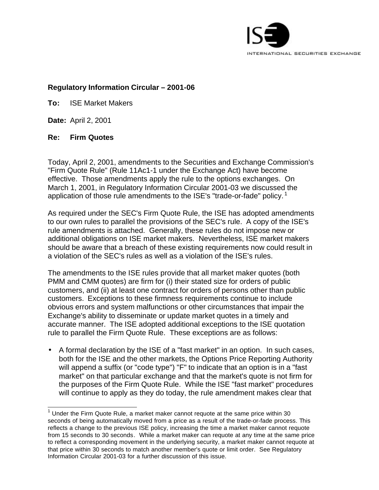

### **Regulatory Information Circular – 2001-06**

**To:** ISE Market Makers

**Date:** April 2, 2001

### **Re: Firm Quotes**

Today, April 2, 2001, amendments to the Securities and Exchange Commission's "Firm Quote Rule" (Rule 11Ac1-1 under the Exchange Act) have become effective. Those amendments apply the rule to the options exchanges. On March 1, 2001, in Regulatory Information Circular 2001-03 we discussed the application of those rule amendments to the ISE's "trade-or-fade" policy.<sup>1</sup>

As required under the SEC's Firm Quote Rule, the ISE has adopted amendments to our own rules to parallel the provisions of the SEC's rule. A copy of the ISE's rule amendments is attached. Generally, these rules do not impose new or additional obligations on ISE market makers. Nevertheless, ISE market makers should be aware that a breach of these existing requirements now could result in a violation of the SEC's rules as well as a violation of the ISE's rules.

The amendments to the ISE rules provide that all market maker quotes (both PMM and CMM quotes) are firm for (i) their stated size for orders of public customers, and (ii) at least one contract for orders of persons other than public customers. Exceptions to these firmness requirements continue to include obvious errors and system malfunctions or other circumstances that impair the Exchange's ability to disseminate or update market quotes in a timely and accurate manner. The ISE adopted additional exceptions to the ISE quotation rule to parallel the Firm Quote Rule. These exceptions are as follows:

• A formal declaration by the ISE of a "fast market" in an option. In such cases, both for the ISE and the other markets, the Options Price Reporting Authority will append a suffix (or "code type") "F" to indicate that an option is in a "fast market" on that particular exchange and that the market's quote is not firm for the purposes of the Firm Quote Rule. While the ISE "fast market" procedures will continue to apply as they do today, the rule amendment makes clear that

<sup>&</sup>lt;u>1</u><br><sup>1</sup> Under the Firm Quote Rule, a market maker cannot requote at the same price within 30 seconds of being automatically moved from a price as a result of the trade-or-fade process. This reflects a change to the previous ISE policy, increasing the time a market maker cannot requote from 15 seconds to 30 seconds. While a market maker can requote at any time at the same price to reflect a corresponding movement in the underlying security, a market maker cannot requote at that price within 30 seconds to match another member's quote or limit order. See Regulatory Information Circular 2001-03 for a further discussion of this issue.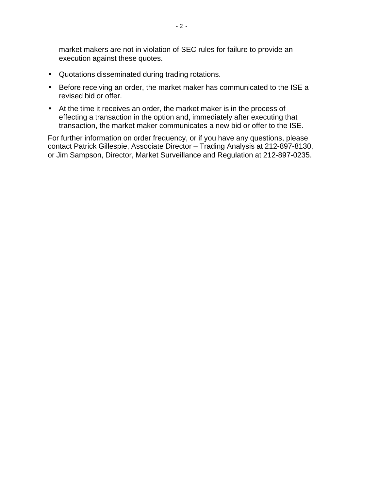market makers are not in violation of SEC rules for failure to provide an execution against these quotes.

- Quotations disseminated during trading rotations.
- Before receiving an order, the market maker has communicated to the ISE a revised bid or offer.
- At the time it receives an order, the market maker is in the process of effecting a transaction in the option and, immediately after executing that transaction, the market maker communicates a new bid or offer to the ISE.

For further information on order frequency, or if you have any questions, please contact Patrick Gillespie, Associate Director – Trading Analysis at 212-897-8130, or Jim Sampson, Director, Market Surveillance and Regulation at 212-897-0235.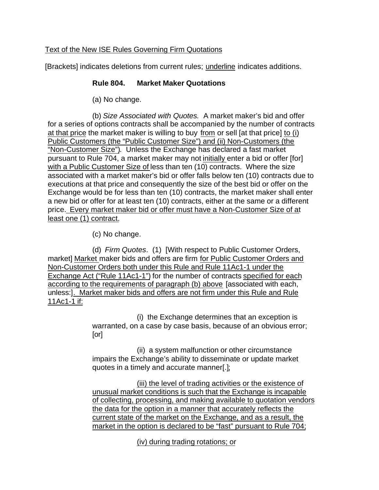# Text of the New ISE Rules Governing Firm Quotations

[Brackets] indicates deletions from current rules; underline indicates additions.

## **Rule 804. Market Maker Quotations**

(a) No change.

(b) *Size Associated with Quotes.* A market maker's bid and offer for a series of options contracts shall be accompanied by the number of contracts at that price the market maker is willing to buy from or sell [at that price] to (i) Public Customers (the "Public Customer Size") and (ii) Non-Customers (the "Non-Customer Size"). Unless the Exchange has declared a fast market pursuant to Rule 704, a market maker may not initially enter a bid or offer [for] with a Public Customer Size of less than ten (10) contracts. Where the size associated with a market maker's bid or offer falls below ten (10) contracts due to executions at that price and consequently the size of the best bid or offer on the Exchange would be for less than ten (10) contracts, the market maker shall enter a new bid or offer for at least ten (10) contracts, either at the same or a different price. Every market maker bid or offer must have a Non-Customer Size of at least one (1) contract.

(c) No change.

(d) *Firm Quotes*. (1) [With respect to Public Customer Orders, market] Market maker bids and offers are firm for Public Customer Orders and Non-Customer Orders both under this Rule and Rule 11Ac1-1 under the Exchange Act ("Rule 11Ac1-1") for the number of contracts specified for each according to the requirements of paragraph (b) above [associated with each, unless:]. Market maker bids and offers are not firm under this Rule and Rule 11Ac1-1 if:

> (i) the Exchange determines that an exception is warranted, on a case by case basis, because of an obvious error; [or]

(ii) a system malfunction or other circumstance impairs the Exchange's ability to disseminate or update market quotes in a timely and accurate manner[.];

(iii) the level of trading activities or the existence of unusual market conditions is such that the Exchange is incapable of collecting, processing, and making available to quotation vendors the data for the option in a manner that accurately reflects the current state of the market on the Exchange, and as a result, the market in the option is declared to be "fast" pursuant to Rule 704;

(iv) during trading rotations; or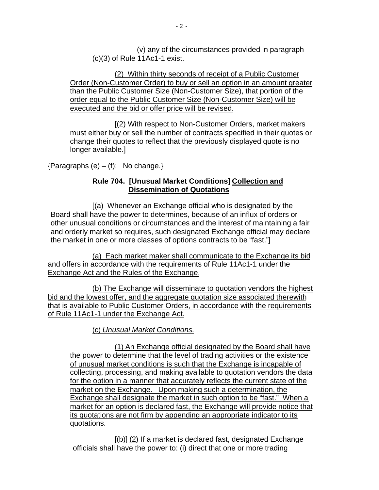(v) any of the circumstances provided in paragraph (c)(3) of Rule 11Ac1-1 exist.

(2) Within thirty seconds of receipt of a Public Customer Order (Non-Customer Order) to buy or sell an option in an amount greater than the Public Customer Size (Non-Customer Size), that portion of the order equal to the Public Customer Size (Non-Customer Size) will be executed and the bid or offer price will be revised.

[(2) With respect to Non-Customer Orders, market makers must either buy or sell the number of contracts specified in their quotes or change their quotes to reflect that the previously displayed quote is no longer available.]

 ${Paragraphs (e) - (f): No change.}$ 

## **Rule 704. [Unusual Market Conditions] Collection and Dissemination of Quotations**

[(a) Whenever an Exchange official who is designated by the Board shall have the power to determines, because of an influx of orders or other unusual conditions or circumstances and the interest of maintaining a fair and orderly market so requires, such designated Exchange official may declare the market in one or more classes of options contracts to be "fast."]

(a) Each market maker shall communicate to the Exchange its bid and offers in accordance with the requirements of Rule 11Ac1-1 under the Exchange Act and the Rules of the Exchange.

(b) The Exchange will disseminate to quotation vendors the highest bid and the lowest offer, and the aggregate quotation size associated therewith that is available to Public Customer Orders, in accordance with the requirements of Rule 11Ac1-1 under the Exchange Act.

(c) *Unusual Market Conditions.*

(1) An Exchange official designated by the Board shall have the power to determine that the level of trading activities or the existence of unusual market conditions is such that the Exchange is incapable of collecting, processing, and making available to quotation vendors the data for the option in a manner that accurately reflects the current state of the market on the Exchange. Upon making such a determination, the Exchange shall designate the market in such option to be "fast." When a market for an option is declared fast, the Exchange will provide notice that its quotations are not firm by appending an appropriate indicator to its quotations.

[(b)] (2) If a market is declared fast, designated Exchange officials shall have the power to: (i) direct that one or more trading